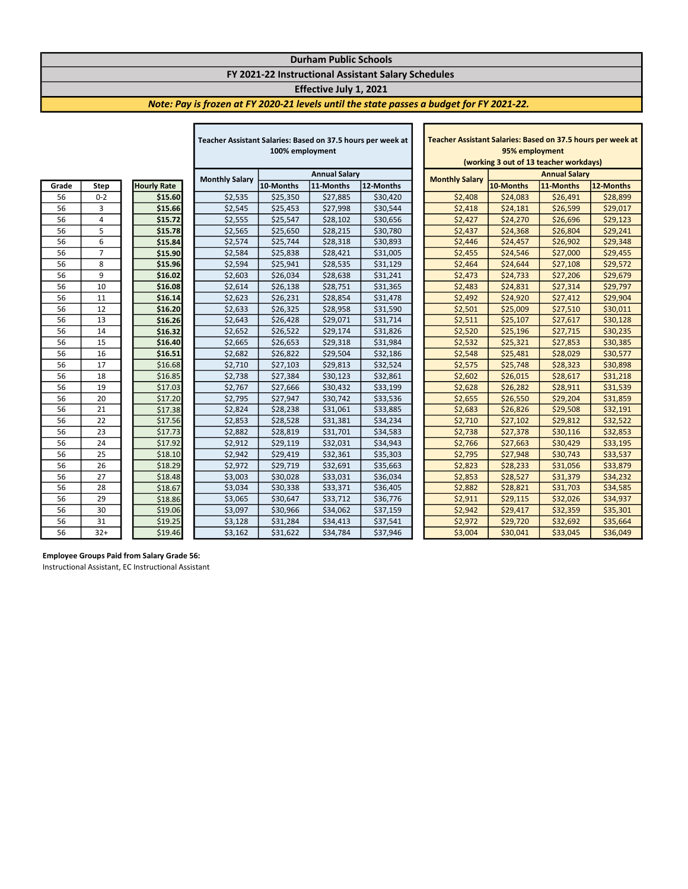### Durham Public Schools

## FY 2021-22 Instructional Assistant Salary Schedules

### Effective July 1, 2021

I

### Note: Pay is frozen at FY 2020-21 levels until the state passes a budget for FY 2021-22.

|       |                |                    | Teacher Assistant Salaries: Based on 37.5 hours per week at |                      |           | Teacher Assistant Salaries: Based on 37.5 hours per week |                                        |                      |           |           |
|-------|----------------|--------------------|-------------------------------------------------------------|----------------------|-----------|----------------------------------------------------------|----------------------------------------|----------------------|-----------|-----------|
|       |                |                    | 100% employment                                             |                      |           | 95% employment                                           |                                        |                      |           |           |
|       |                |                    |                                                             |                      |           |                                                          | (working 3 out of 13 teacher workdays) |                      |           |           |
|       |                |                    | <b>Monthly Salary</b>                                       | <b>Annual Salary</b> |           |                                                          | <b>Monthly Salary</b>                  | <b>Annual Salary</b> |           |           |
| Grade | Step           | <b>Hourly Rate</b> |                                                             | 10-Months            | 11-Months | 12-Months                                                |                                        | 10-Months            | 11-Months | 12-Months |
| 56    | $0 - 2$        | \$15.60            | \$2,535                                                     | \$25,350             | \$27,885  | \$30,420                                                 | \$2,408                                | \$24,083             | \$26,491  | \$28,899  |
| 56    | 3              | \$15.66            | \$2,545                                                     | \$25,453             | \$27,998  | \$30,544                                                 | \$2,418                                | \$24,181             | \$26,599  | \$29,017  |
| 56    | 4              | \$15.72            | \$2,555                                                     | \$25,547             | \$28,102  | \$30,656                                                 | \$2,427                                | \$24,270             | \$26,696  | \$29,123  |
| 56    | 5              | \$15.78            | \$2,565                                                     | \$25,650             | \$28,215  | \$30,780                                                 | \$2,437                                | \$24,368             | \$26,804  | \$29,241  |
| 56    | 6              | \$15.84            | \$2,574                                                     | \$25,744             | \$28,318  | \$30,893                                                 | \$2,446                                | \$24,457             | \$26,902  | \$29,348  |
| 56    | $\overline{7}$ | \$15.90            | \$2,584                                                     | \$25,838             | \$28,421  | \$31,005                                                 | \$2,455                                | \$24,546             | \$27,000  | \$29,455  |
| 56    | 8              | \$15.96            | \$2,594                                                     | \$25,941             | \$28,535  | \$31,129                                                 | \$2,464                                | \$24,644             | \$27,108  | \$29,572  |
| 56    | 9              | \$16.02            | \$2,603                                                     | \$26,034             | \$28,638  | \$31,241                                                 | \$2,473                                | \$24,733             | \$27,206  | \$29,679  |
| 56    | 10             | \$16.08            | \$2,614                                                     | \$26,138             | \$28,751  | \$31,365                                                 | \$2,483                                | \$24,831             | \$27,314  | \$29,797  |
| 56    | 11             | \$16.14            | \$2,623                                                     | \$26,231             | \$28,854  | \$31,478                                                 | \$2,492                                | \$24,920             | \$27,412  | \$29,904  |
| 56    | 12             | \$16.20            | \$2,633                                                     | \$26,325             | \$28,958  | \$31,590                                                 | \$2,501                                | \$25,009             | \$27,510  | \$30,011  |
| 56    | 13             | \$16.26            | \$2,643                                                     | \$26,428             | \$29,071  | \$31,714                                                 | \$2,511                                | \$25,107             | \$27,617  | \$30,128  |
| 56    | 14             | \$16.32            | \$2,652                                                     | \$26,522             | \$29,174  | \$31,826                                                 | \$2,520                                | \$25,196             | \$27,715  | \$30,235  |
| 56    | 15             | \$16.40            | \$2,665                                                     | \$26,653             | \$29,318  | \$31,984                                                 | \$2,532                                | \$25,321             | \$27,853  | \$30,385  |
| 56    | 16             | \$16.51            | \$2,682                                                     | \$26,822             | \$29,504  | \$32,186                                                 | \$2,548                                | \$25,481             | \$28,029  | \$30,577  |
| 56    | 17             | \$16.68            | \$2,710                                                     | \$27,103             | \$29,813  | \$32,524                                                 | \$2,575                                | \$25,748             | \$28,323  | \$30,898  |
| 56    | 18             | \$16.85            | \$2,738                                                     | \$27,384             | \$30,123  | \$32,861                                                 | \$2,602                                | \$26,015             | \$28,617  | \$31,218  |
| 56    | 19             | \$17.03            | \$2,767                                                     | \$27,666             | \$30,432  | \$33,199                                                 | \$2,628                                | \$26,282             | \$28,911  | \$31,539  |
| 56    | 20             | \$17.20            | \$2,795                                                     | \$27,947             | \$30,742  | \$33,536                                                 | \$2,655                                | \$26,550             | \$29,204  | \$31,859  |
| 56    | 21             | \$17.38            | \$2,824                                                     | \$28,238             | \$31,061  | \$33,885                                                 | \$2,683                                | \$26,826             | \$29,508  | \$32,191  |
| 56    | 22             | \$17.56            | \$2,853                                                     | \$28,528             | \$31,381  | \$34,234                                                 | \$2,710                                | \$27,102             | \$29,812  | \$32,522  |
| 56    | 23             | \$17.73            | \$2,882                                                     | \$28,819             | \$31,701  | \$34,583                                                 | \$2,738                                | \$27,378             | \$30,116  | \$32,853  |
| 56    | 24             | \$17.92            | \$2,912                                                     | \$29,119             | \$32,031  | \$34,943                                                 | \$2,766                                | \$27,663             | \$30,429  | \$33,195  |
| 56    | 25             | \$18.10            | \$2,942                                                     | \$29,419             | \$32,361  | \$35,303                                                 | \$2,795                                | \$27,948             | \$30,743  | \$33,537  |
| 56    | 26             | \$18.29            | \$2,972                                                     | \$29,719             | \$32,691  | \$35,663                                                 | \$2,823                                | \$28,233             | \$31,056  | \$33,879  |
| 56    | 27             | \$18.48            | \$3,003                                                     | \$30,028             | \$33,031  | \$36,034                                                 | \$2,853                                | \$28,527             | \$31,379  | \$34,232  |
| 56    | 28             | \$18.67            | \$3,034                                                     | \$30,338             | \$33,371  | \$36,405                                                 | \$2,882                                | \$28,821             | \$31,703  | \$34,585  |
| 56    | 29             | \$18.86            | \$3,065                                                     | \$30,647             | \$33,712  | \$36,776                                                 | \$2,911                                | \$29,115             | \$32,026  | \$34,937  |
| 56    | 30             | \$19.06            | \$3,097                                                     | \$30,966             | \$34,062  | \$37,159                                                 | \$2,942                                | \$29,417             | \$32,359  | \$35,301  |
| 56    | 31             | \$19.25            | \$3,128                                                     | \$31,284             | \$34,413  | \$37,541                                                 | \$2,972                                | \$29,720             | \$32,692  | \$35,664  |
| 56    | $32+$          | \$19.46            | \$3,162                                                     | \$31,622             | \$34,784  | \$37,946                                                 | \$3,004                                | \$30,041             | \$33,045  | \$36,049  |

Г

| Teacher Assistant Salaries: Based on 37.5 hours per week at |                        |          |           |  |  |  |  |  |
|-------------------------------------------------------------|------------------------|----------|-----------|--|--|--|--|--|
| 95% employment                                              |                        |          |           |  |  |  |  |  |
| (working 3 out of 13 teacher workdays)                      |                        |          |           |  |  |  |  |  |
|                                                             | <b>Annual Salary</b>   |          |           |  |  |  |  |  |
| <b>Monthly Salary</b>                                       | 10-Months<br>11-Months |          | 12-Months |  |  |  |  |  |
| \$2,408                                                     | \$24,083               | \$26,491 | \$28,899  |  |  |  |  |  |
| \$2,418                                                     | \$24,181               | \$26,599 | \$29,017  |  |  |  |  |  |
| \$2,427                                                     | \$24,270               | \$26,696 | \$29,123  |  |  |  |  |  |
| \$2,437                                                     | \$24,368               | \$26,804 | \$29,241  |  |  |  |  |  |
| \$2,446                                                     | \$24,457               | \$26,902 | \$29,348  |  |  |  |  |  |
| \$2,455                                                     | \$24,546               | \$27,000 | \$29,455  |  |  |  |  |  |
| \$2,464                                                     | \$24,644               | \$27,108 | \$29,572  |  |  |  |  |  |
| \$2,473                                                     | \$24,733               | \$27,206 | \$29,679  |  |  |  |  |  |
| \$2,483                                                     | \$24,831               | \$27,314 | \$29,797  |  |  |  |  |  |
| \$2,492                                                     | \$24,920               | \$27,412 | \$29,904  |  |  |  |  |  |
| \$2,501                                                     | \$25,009               | \$27,510 | \$30,011  |  |  |  |  |  |
| \$2,511                                                     | \$25,107               | \$27,617 | \$30,128  |  |  |  |  |  |
| \$2,520                                                     | \$25,196               | \$27,715 | \$30,235  |  |  |  |  |  |
| \$2,532                                                     | \$25,321               | \$27,853 | \$30,385  |  |  |  |  |  |
| \$2,548                                                     | \$25,481               | \$28,029 | \$30,577  |  |  |  |  |  |
| \$2,575                                                     | \$25,748               | \$28,323 | \$30,898  |  |  |  |  |  |
| \$2,602                                                     | \$26,015               | \$28,617 | \$31,218  |  |  |  |  |  |
| \$2,628                                                     | \$26,282               | \$28,911 | \$31,539  |  |  |  |  |  |
| \$2,655                                                     | \$26,550               | \$29,204 | \$31,859  |  |  |  |  |  |
| \$2,683                                                     | \$26,826               | \$29,508 | \$32,191  |  |  |  |  |  |
| \$2,710                                                     | \$27,102               | \$29,812 | \$32,522  |  |  |  |  |  |
| \$2,738                                                     | \$27,378               | \$30,116 | \$32,853  |  |  |  |  |  |
| \$2,766                                                     | \$27,663               | \$30,429 | \$33,195  |  |  |  |  |  |
| \$2,795                                                     | \$27,948               | \$30,743 | \$33,537  |  |  |  |  |  |
| \$2,823                                                     | \$28,233               | \$31,056 | \$33,879  |  |  |  |  |  |
| \$2,853                                                     | \$28,527               | \$31,379 | \$34,232  |  |  |  |  |  |
| \$2,882                                                     | \$28,821               | \$31,703 | \$34,585  |  |  |  |  |  |
| \$2,911                                                     | \$29,115               | \$32,026 | \$34,937  |  |  |  |  |  |
| \$2,942                                                     | \$29,417               | \$32,359 | \$35,301  |  |  |  |  |  |
| \$2,972<br>\$29,720<br>\$32,692<br>\$35,664                 |                        |          |           |  |  |  |  |  |
| \$3,004                                                     | \$30,041               | \$33,045 | \$36,049  |  |  |  |  |  |

#### Employee Groups Paid from Salary Grade 56:

Instructional Assistant, EC Instructional Assistant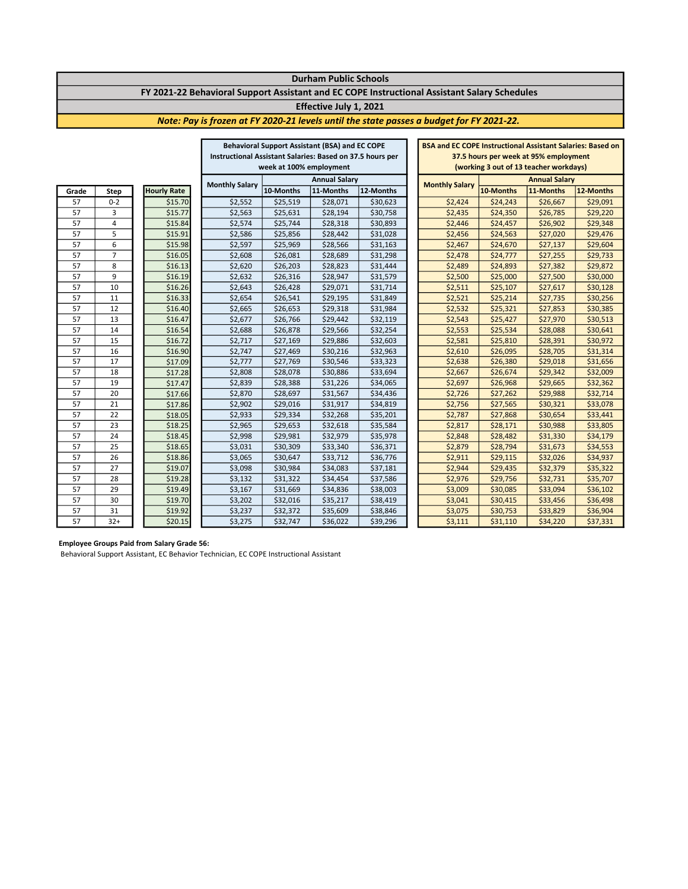#### Durham Public Schools FY 2021-22 Behavioral Support Assistant and EC COPE Instructional Assistant Salary Schedules

#### Effective July 1, 2021

#### Note: Pay is frozen at FY 2020-21 levels until the state passes a budget for FY 2021-22.

|                                                           |                |                    | <b>Behavioral Support Assistant (BSA) and EC COPE</b> |                      |                                       | <b>BSA and EC COPE Instructional Assistant Salaries: Based on</b> |                                        |           |                      |           |
|-----------------------------------------------------------|----------------|--------------------|-------------------------------------------------------|----------------------|---------------------------------------|-------------------------------------------------------------------|----------------------------------------|-----------|----------------------|-----------|
| Instructional Assistant Salaries: Based on 37.5 hours per |                |                    |                                                       |                      | 37.5 hours per week at 95% employment |                                                                   |                                        |           |                      |           |
|                                                           |                |                    | week at 100% employment                               |                      |                                       |                                                                   | (working 3 out of 13 teacher workdays) |           |                      |           |
|                                                           |                |                    |                                                       | <b>Annual Salary</b> |                                       |                                                                   |                                        |           | <b>Annual Salary</b> |           |
| Grade                                                     | Step           | <b>Hourly Rate</b> | <b>Monthly Salary</b>                                 | 10-Months            | 11-Months                             | 12-Months                                                         | <b>Monthly Salary</b>                  | 10-Months | 11-Months            | 12-Months |
| 57                                                        | $0 - 2$        | \$15.70            | \$2,552                                               | \$25,519             | \$28,071                              | \$30,623                                                          | \$2,424                                | \$24,243  | \$26,667             | \$29,091  |
| 57                                                        | 3              | \$15.77            | \$2,563                                               | \$25,631             | \$28,194                              | \$30,758                                                          | \$2,435                                | \$24,350  | \$26,785             | \$29,220  |
| 57                                                        | 4              | \$15.84            | \$2,574                                               | \$25,744             | \$28,318                              | \$30,893                                                          | \$2,446                                | \$24,457  | \$26,902             | \$29,348  |
| 57                                                        | 5              | \$15.91            | \$2,586                                               | \$25,856             | \$28,442                              | \$31,028                                                          | \$2,456                                | \$24,563  | \$27,020             | \$29,476  |
| 57                                                        | 6              | \$15.98            | \$2,597                                               | \$25,969             | \$28,566                              | \$31,163                                                          | \$2,467                                | \$24,670  | \$27,137             | \$29,604  |
| 57                                                        | $\overline{7}$ | \$16.05            | \$2,608                                               | \$26,081             | \$28,689                              | \$31,298                                                          | \$2,478                                | \$24,777  | \$27,255             | \$29,733  |
| 57                                                        | 8              | \$16.13            | \$2,620                                               | \$26,203             | \$28,823                              | \$31,444                                                          | \$2,489                                | \$24,893  | \$27,382             | \$29,872  |
| 57                                                        | 9              | \$16.19            | \$2,632                                               | \$26,316             | \$28,947                              | \$31,579                                                          | \$2,500                                | \$25,000  | \$27,500             | \$30,000  |
| 57                                                        | 10             | \$16.26            | \$2,643                                               | \$26,428             | \$29,071                              | \$31,714                                                          | \$2,511                                | \$25,107  | \$27,617             | \$30,128  |
| 57                                                        | 11             | \$16.33            | \$2,654                                               | \$26,541             | \$29,195                              | \$31,849                                                          | \$2,521                                | \$25,214  | \$27,735             | \$30,256  |
| 57                                                        | 12             | \$16.40            | \$2,665                                               | \$26,653             | \$29,318                              | \$31,984                                                          | \$2,532                                | \$25,321  | \$27,853             | \$30,385  |
| 57                                                        | 13             | \$16.47            | \$2,677                                               | \$26,766             | \$29,442                              | \$32,119                                                          | \$2,543                                | \$25,427  | \$27,970             | \$30,513  |
| 57                                                        | 14             | \$16.54            | \$2,688                                               | \$26,878             | \$29,566                              | \$32,254                                                          | \$2,553                                | \$25,534  | \$28,088             | \$30,641  |
| 57                                                        | 15             | \$16.72            | \$2,717                                               | \$27,169             | \$29,886                              | \$32,603                                                          | \$2,581                                | \$25,810  | \$28,391             | \$30,972  |
| 57                                                        | 16             | \$16.90            | \$2,747                                               | \$27,469             | \$30,216                              | \$32,963                                                          | \$2,610                                | \$26,095  | \$28,705             | \$31,314  |
| 57                                                        | 17             | \$17.09            | \$2,777                                               | \$27,769             | \$30,546                              | \$33,323                                                          | \$2,638                                | \$26,380  | \$29,018             | \$31,656  |
| 57                                                        | 18             | \$17.28            | \$2,808                                               | \$28,078             | \$30,886                              | \$33,694                                                          | \$2,667                                | \$26,674  | \$29,342             | \$32,009  |
| 57                                                        | 19             | \$17.47            | \$2,839                                               | \$28,388             | \$31,226                              | \$34,065                                                          | \$2,697                                | \$26,968  | \$29,665             | \$32,362  |
| 57                                                        | 20             | \$17.66            | \$2,870                                               | \$28,697             | \$31,567                              | \$34,436                                                          | \$2,726                                | \$27,262  | \$29,988             | \$32,714  |
| 57                                                        | 21             | \$17.86            | \$2,902                                               | \$29,016             | \$31,917                              | \$34,819                                                          | \$2,756                                | \$27,565  | \$30,321             | \$33,078  |
| 57                                                        | 22             | \$18.05            | \$2,933                                               | \$29,334             | \$32,268                              | \$35,201                                                          | \$2,787                                | \$27,868  | \$30,654             | \$33,441  |
| 57                                                        | 23             | \$18.25            | \$2,965                                               | \$29,653             | \$32,618                              | \$35,584                                                          | \$2,817                                | \$28,171  | \$30,988             | \$33,805  |
| 57                                                        | 24             | \$18.45            | \$2,998                                               | \$29,981             | \$32,979                              | \$35,978                                                          | \$2,848                                | \$28,482  | \$31,330             | \$34,179  |
| 57                                                        | 25             | \$18.65            | \$3,031                                               | \$30,309             | \$33,340                              | \$36,371                                                          | \$2,879                                | \$28,794  | \$31,673             | \$34,553  |
| 57                                                        | 26             | \$18.86            | \$3,065                                               | \$30,647             | \$33,712                              | \$36,776                                                          | \$2,911                                | \$29,115  | \$32,026             | \$34,937  |
| 57                                                        | 27             | \$19.07            | \$3,098                                               | \$30,984             | \$34,083                              | \$37,181                                                          | \$2,944                                | \$29,435  | \$32,379             | \$35,322  |
| 57                                                        | 28             | \$19.28            | \$3,132                                               | \$31,322             | \$34,454                              | \$37,586                                                          | \$2,976                                | \$29,756  | \$32,731             | \$35,707  |
| 57                                                        | 29             | \$19.49            | \$3,167                                               | \$31,669             | \$34,836                              | \$38,003                                                          | \$3,009                                | \$30,085  | \$33,094             | \$36,102  |
| 57                                                        | 30             | \$19.70            | \$3,202                                               | \$32,016             | \$35,217                              | \$38,419                                                          | \$3,041                                | \$30,415  | \$33,456             | \$36,498  |
| 57                                                        | 31             | \$19.92            | \$3,237                                               | \$32,372             | \$35,609                              | \$38,846                                                          | \$3,075                                | \$30,753  | \$33,829             | \$36,904  |
| 57                                                        | $32+$          | \$20.15            | \$3,275                                               | \$32,747             | \$36,022                              | \$39,296                                                          | \$3,111                                | \$31,110  | \$34,220             | \$37,331  |

#### Employee Groups Paid from Salary Grade 56:

Behavioral Support Assistant, EC Behavior Technician, EC COPE Instructional Assistant